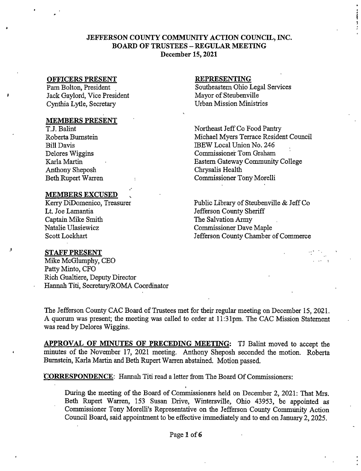## JEFFERSON COUNTY COMMUNITY ACTION COUNCIL, INC. BOARD OF TRUSTEES - REGULAR MEETING December 15,2021

### OFFICERS PRESENT

Pam Bolton, President Jack Gaylord, Vice President Cynthia Lytle, Secretary

### MEMBERS PRESENT

T.J. Balint RobertaBumstein Bill Davis Delores Wiggins Karla Martin Anthony Sheposh Beth Rupert Warren

### **MEMBERS EXCUSED**

Kerry DiDomenico, Treasurer Lt. Joe Lamantia Captain Mike Smith Natalie Ulasiewicz Scott Lockhart

### STAFF PRESENT

Mike McGlumphy, CEO Patty Minto, CFO Rich Gualtiere, Deputy Director Hannah Titi, Secretary/ROMA Coordinator

### REPRESENTING

Southeastern Ohio Legal Services Mayor of Steubenville Urban Mission Ministries

Northeast Jeff Co Food Pantry Michael Myers Terrace Resident Council IBEW Local Union No. 246 Commissioner Tom Graham Eastern Gateway Community College Chrysalis Health Commissioner Tony Morelli

Public Library of Steubenville & Jeff Co Jefferson County Sheriff The Salvation Army Commissioner Dave Maple Jefferson County Chamber of Commerce

The Jefferson County CAC Board of Trustees met for their regular meeting on December 15, 2021. A quorum was present; the meeting was called to order at 11:31pm. The CAC Mission Statement was read by Delores Wiggins.

APPROVAL OF MINUTES OF PRECEDING MEETING: TJ Balint moved to accept the minutes of the November 17, 2021 meeting. Anthony Sheposh seconded the motion. Roberta Bumstein, Karla Martin and Beth Rupert Warren abstained. Motion passed.

i

**CORRESPONDENCE:** Hannah Titi read a letter from The Board Of Commissioners:

During the meeting of the Board of Commissioners held on December 2, 2021: That Mrs. Beth Rupert Warren, 153 Susan Drive, Wintersville, Ohio 43953, be appointed as Commissioner Tony Morelli's Representative on the Jefferson County Community Action Council Board, said appointment to be effective immediately and to end on January 2,2025.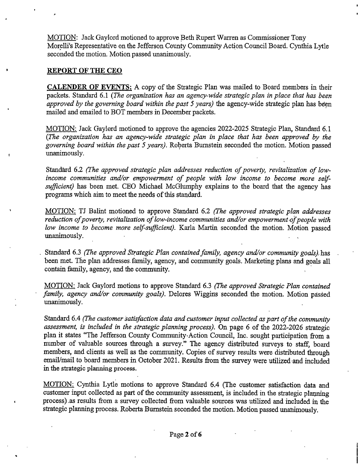MOTION: Jack Gaylord motioned to approve Beth Rupert Warren as Commissioner Tony Morelli's Representative on the Jefferson County Community Action Council Board. Cynthia Lytle seconded the motion. Motion passed unanimously.

### REPORT OF THE CEO

**CALENDER OF EVENTS:** A copy of the Strategic Plan was mailed to Board members in their packets. Standard 6.1 *{The organization has an agency-wide strategic plan in place that has been approved by the governing board within the past 5 years)* the agency-wide strategic plan has been mailed and emailed to BOT members in December packets.

MOTION: Jack Gaylord motioned to approve the agencies 2022-2025 Strategic Plan, Standard 6.1 *{The organization has an agency-wide strategic plan in place that has been approved by the governing board within the past 5 years).* Roberta Bumstein seconded the motion. Motion passed unanimously.

Standard 6.2 *(The approved strategic plan addresses reduction ofpoverty, revitalization of lowincome communities and/or empowerment of people with low income to become more selfsufficient)* has been met. CEO Michael McGlumphy explains to the board that the agency has programs which aim to meet the needs of this standard.

MOTION: TJ Balint motioned to approve Standard 6.2 *(The approved strategic plan addresses reduction of poverty, revitalization of low-income communities and/or empowerment of people with low income to become more self-sufficient).* Karla Martin seconded the motion. Motion passed unanimously.

Standard 6.3 *(The approved Strategic Plan containedfamily, agency and/or community goals)* has been met. The plan addresses family, agency, and community goals. Marketing plans and goals all contain family, agency, and the community.

MOTION: Jack Gaylord motions to approve Standard 6.3 *(The approved Strategic Plan contained family, agency and/or community goals).* Delores Wiggins seconded the motion. Motion passed unanimously.

Standard 6.4 *(The customer satisfaction data and customer input collected as part of the community assessment, is included in the strategic planning process).* On page 6 of the 2022-2026 strategic plan it states "The Jefferson County Community Action Council, Inc. sought participation from a number of valuable sources through a survey." The agency distributed surveys to staff, board members, and clients as well as the community. Copies of survey results were distributed through email/mail to board members in October 2021. Results from the survey were utilized and included in the strategic planning process.

MOTION: Cynthia Lytle motions to approve Standard 6.4 (The customer satisfaction data and customer input collected as part of the community assessment, is included in the strategic planning process) .as results from a survey collected from valuable sources was utilized and included in the strategic planning process. Roberta Bumstein seconded the motion. Motion passed unanimously.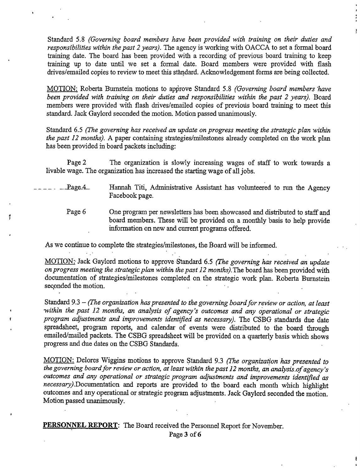Standard 5.8 *(Governing board members have been provided with training on their duties and responsibilities within the past 2 years).* The agency is working with OACCA to set a formal board training date. The board has been provided with a recording of previous board training to keep training up to date until we set a formal date. Board members were provided with flash drives/emailed copies to review to meet this standard. Acknowledgement forms are being collected.

 $\frac{1}{2}$ 

MOTION: Roberta Bumstein motions to approve Standard 5.8 *(Governing board members have been provided with training on their duties and responsibilities within the past 2 years).* Board members were provided with flash drives/emailed copies of previous board training to meet this standard. Jack Gaylord seconded the motion. Motion passed unanimously.

Standard 6.5 *(The governing has received an update on progress meeting the strategic plan within the past 12 months).* A paper containing strategies/milestones already completed on the work plan has been provided in board packets including:

Page 2 The organization is slowly increasing wages of staff to work towards a livable wage. The organization has increased the starting wage of all jobs.

- $\text{Page-4}$  Hannah Titi, Administrative Assistant has volunteered to run the Agency Facebook page.
	- Page 6 One program per newsletters has been showcased and distributed to staff and board members. These will be provided on a monthly basis to help provide information on new and current programs offered.

As we continue to complete the strategies/milestones, the Board will be informed.

 $\Delta \sim 10$ 

MOTION: Jack Gaylord motions to approve Standard 6.5 *(The governing has received an update on progress meeting the strategic plan within the past 12 months). The board has been provided with* documentation of strategies/milestones completed on the strategic work plan. Roberta Bumstein seconded the motion.

Standard 9.3 -*(The organization haspresented to the governing boardforreview or action, at least •within the past 12 months, an analysis of agency's outcomes and any operational or strategic program adjustments and improvements identified as necessary).* The CSBG standards due date spreadsheet, program reports, and calendar of events were distributed to the board through emailed/mailed packets. The CSBG spreadsheet will be provided on a quarterly basis which shows progress and due dates on the CSBG Standards.

MOTION: Delores Wiggins motions to approve Standard 9.3 *(The organization has presented to the governing boardforreview or action, at least within thepast 12 months, an analysis.ofagency's outcomes and any operational or strategic program adjustments and improvements identified as* necessary). Documentation and reports are provided to the board each month which highlight outcomes and any operational or strategic program adjustments. Jack Gaylord seconded the motion. Motion passed unanimously.

**PERSONNEL REPORT:** The Board received the Personnel Report for November.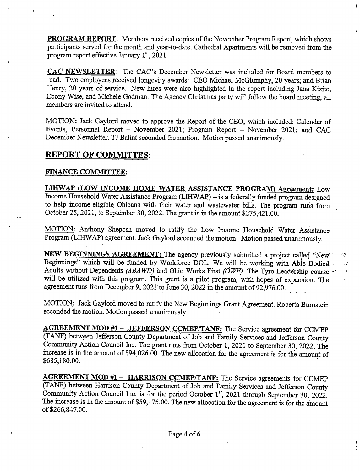**PROGRAM REPORT:** Members received copies of the November Program Report, which shows participants served for the month and year-to-date. Cathedral Apartments will be removed-from the program report effective January  $1<sup>st</sup>$ , 2021.

 $\mathbf{I}$ 

CAC NEWSLETTER: The CAC's December Newsletter was included for Board members to read. Two employees received longevity awards: CEO Michael McGlumphy, 20 years; and Brian Henry, 20 years of service. New hires were also highlighted in the report including Jana Kizito, Ebony Wise, and Michele Godrnan. The Agency Christmas party will follow the board meeting, all members are invited to attend.

MOTION: Jack Gaylord moved to approve the Report of the CEO, which included: Calendar of Events, Personnel Report - November 2021; Program Report - November 2021; and CAC December Newsletter. TJ Balint seconded the motion. Motion passed unanimously.

# **REPORT OF COMMUTES:**

# FINANCE COMMITTEE:

LIHWAP (LOW INCOME HOME WATER ASSISTANCE PROGRAM) Agreement: Low Income Household Water Assistance Program (LIHWAP) - is a federally funded program designed to help income-eligible Ohioans with their water and wastewater bills. The program runs from October 25,2021, to September 30,2022. The grant is in the amount \$275,421.00.

MOTION: Anthony Sheposh moved to ratify the Low Income Household Water. Assistance Program (LIHWAP) agreement. Jack Gaylord seconded the motion. Motion passed unanimously.

NEW BEGINNINGS AGREEMENT: The agency previously submitted a project called "New" Beginnings" which will be funded by Workforce DOL. We will be working with Able Bodied Adults without Dependents *(ABAWD)* and Ohio Works First *(OWF).* The Tyro Leadership course will be utilized with this program. This grant is a pilot program, with hopes of expansion. The agreement runs from December 9, 2021 to June 30, 2022 in the amount of 92,976.00.

MOTION: Jack Gaylord moved to ratify the New Beginnings Grant Agreement. Roberta Bumstein seconded the motion. Motion passed **unanimously.**

AGREEMENT MOD #1 - JEFFERSON CCMEP/TANF: The Service agreement for CCMEP (TANF) between Jefferson County Department of Job and Family Services and Jefferson County Community Action Council Inc. The grant runs from October 1, 2021 to September 30, 2022. The increase is in the amount of \$94,026.00. The new allocation for the agreement is for the amount of \$685,180.00.

AGREEMENT MOD #1 - HARRISON CCMEP/TANF: The Service agreements for CCMEP (TANF) between Harrison County Department of Job and Family Services and Jefferson County Community Action Council Inc. is for the period October 1<sup>st</sup>, 2021 through September 30, 2022. The increase is in the amount of \$59,175.00. The new allocation for the agreement is for the amount of\$266,847.00.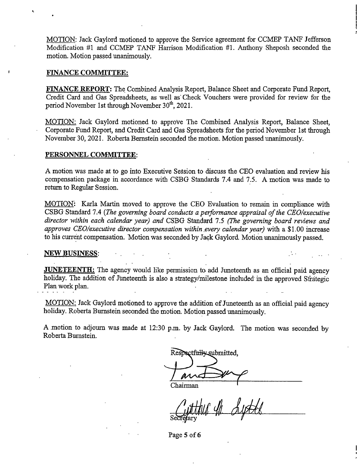MOTION: Jack Gaylord motioned to approve the Service agreement for CCMEP TANF Jefferson Modification #1 and CCMEP TANF Harrison Modification #1. Anthony Sheposh seconded the motion. Motion passed unanimously.

#### FINANCE COMMITTEE:

FINANCE REPORT; The Combined Analysis Report, Balance Sheet and Corporate Fund Report, Credit Card and Gas Spreadsheets, as well as' Check Vouchers were provided for review for the period November 1st through November 30<sup>th</sup>, 2021.

MOTION: Jack Gaylord motioned to approve The Combined Analysis Report, Balance Sheet, Corporate Fund Report, and Credit Card and Gas Spreadsheets for the period November 1st through November 30, 2021. Roberta Bernstein seconded the motion. Motion passed unanimously.

#### PERSONNEL COMMITTEE:

A motion was made at to go into Executive Session to discuss the CEO evaluation and review his compensation package in accordance with CSBG Standards 7.4 and 7.5. A motion was made to return to Regular Session.

MOTION: Karla Martin moved to approve the CEO Evaluation to remain in compliance with CSBG Standard 7.4 *{The governing board conducts a performance appraisal ofthe CEO/executive director within each calendar year) and* CSBG Standard 7.5 *(The governing board reviews and approves CEO/executive director compensation within.every calendar year)* with a \$1.00 increase to his current compensation. Motion was seconded by Jack Gaylord. Motion unanimously passed.

#### NEW BUSINESS:

**JUNETEENTH:** The agency would like permission to add Juneteenth as an official paid agency holiday. The addition of Juneteenth is also a strategy/milestone included in the approved Strategic Plan work plan.

MOTION: Jack Gaylord motioned to approve the addition of Juneteenth as an official paid agency holiday. Roberta Bumstein seconded the motion. Motion passed unanimously.

A motion to adjourn was made at 12:30 p.m. by Jack Gaylord. The motion was seconded by Roberta Bumstein.

Respectfully submitted.

A A Chairman

**Page 5 of 6**